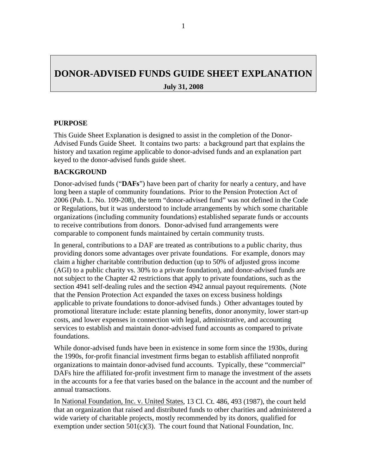# **DONOR-ADVISED FUNDS GUIDE SHEET EXPLANATION July 31, 2008**

#### **PURPOSE**

This Guide Sheet Explanation is designed to assist in the completion of the Donor-Advised Funds Guide Sheet. It contains two parts: a background part that explains the history and taxation regime applicable to donor-advised funds and an explanation part keyed to the donor-advised funds guide sheet.

#### **BACKGROUND**

Donor-advised funds ("**DAFs**") have been part of charity for nearly a century, and have long been a staple of community foundations. Prior to the Pension Protection Act of 2006 (Pub. L. No. 109-208), the term "donor-advised fund" was not defined in the Code or Regulations, but it was understood to include arrangements by which some charitable organizations (including community foundations) established separate funds or accounts to receive contributions from donors. Donor-advised fund arrangements were comparable to component funds maintained by certain community trusts.

In general, contributions to a DAF are treated as contributions to a public charity, thus providing donors some advantages over private foundations. For example, donors may claim a higher charitable contribution deduction (up to 50% of adjusted gross income (AGI) to a public charity vs. 30% to a private foundation), and donor-advised funds are not subject to the Chapter 42 restrictions that apply to private foundations, such as the section 4941 self-dealing rules and the section 4942 annual payout requirements. (Note that the Pension Protection Act expanded the taxes on excess business holdings applicable to private foundations to donor-advised funds.) Other advantages touted by promotional literature include: estate planning benefits, donor anonymity, lower start-up costs, and lower expenses in connection with legal, administrative, and accounting services to establish and maintain donor-advised fund accounts as compared to private foundations.

While donor-advised funds have been in existence in some form since the 1930s, during the 1990s, for-profit financial investment firms began to establish affiliated nonprofit organizations to maintain donor-advised fund accounts. Typically, these "commercial" DAFs hire the affiliated for-profit investment firm to manage the investment of the assets in the accounts for a fee that varies based on the balance in the account and the number of annual transactions.

In National Foundation, Inc. v. United States, 13 Cl. Ct. 486, 493 (1987), the court held that an organization that raised and distributed funds to other charities and administered a wide variety of charitable projects, mostly recommended by its donors, qualified for exemption under section  $501(c)(3)$ . The court found that National Foundation, Inc.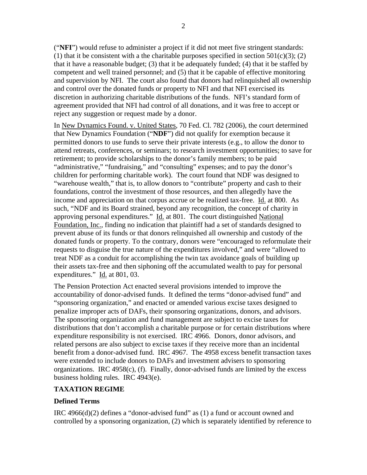("**NFI**") would refuse to administer a project if it did not meet five stringent standards: (1) that it be consistent with a the charitable purposes specified in section  $501(c)(3)$ ; (2) that it have a reasonable budget; (3) that it be adequately funded; (4) that it be staffed by competent and well trained personnel; and (5) that it be capable of effective monitoring and supervision by NFI. The court also found that donors had relinquished all ownership and control over the donated funds or property to NFI and that NFI exercised its discretion in authorizing charitable distributions of the funds. NFI's standard form of agreement provided that NFI had control of all donations, and it was free to accept or reject any suggestion or request made by a donor.

In New Dynamics Found. v. United States, 70 Fed. Cl. 782 (2006), the court determined that New Dynamics Foundation ("**NDF**") did not qualify for exemption because it permitted donors to use funds to serve their private interests (e.g., to allow the donor to attend retreats, conferences, or seminars; to research investment opportunities; to save for retirement; to provide scholarships to the donor's family members; to be paid "administrative," "fundraising," and "consulting" expenses; and to pay the donor's children for performing charitable work). The court found that NDF was designed to "warehouse wealth," that is, to allow donors to "contribute" property and cash to their foundations, control the investment of those resources, and then allegedly have the income and appreciation on that corpus accrue or be realized tax-free. Id. at 800. As such, "NDF and its Board strained, beyond any recognition, the concept of charity in approving personal expenditures." Id. at 801. The court distinguished National Foundation, Inc., finding no indication that plaintiff had a set of standards designed to prevent abuse of its funds or that donors relinquished all ownership and custody of the donated funds or property. To the contrary, donors were "encouraged to reformulate their requests to disguise the true nature of the expenditures involved," and were "allowed to treat NDF as a conduit for accomplishing the twin tax avoidance goals of building up their assets tax-free and then siphoning off the accumulated wealth to pay for personal expenditures." Id. at 801, 03.

The Pension Protection Act enacted several provisions intended to improve the accountability of donor-advised funds. It defined the terms "donor-advised fund" and "sponsoring organization," and enacted or amended various excise taxes designed to penalize improper acts of DAFs, their sponsoring organizations, donors, and advisors. The sponsoring organization and fund management are subject to excise taxes for distributions that don't accomplish a charitable purpose or for certain distributions where expenditure responsibility is not exercised. IRC 4966. Donors, donor advisors, and related persons are also subject to excise taxes if they receive more than an incidental benefit from a donor-advised fund. IRC 4967. The 4958 excess benefit transaction taxes were extended to include donors to DAFs and investment advisers to sponsoring organizations. IRC  $4958(c)$ , (f). Finally, donor-advised funds are limited by the excess business holding rules. IRC 4943(e).

#### **TAXATION REGIME**

## **Defined Terms**

IRC 4966(d)(2) defines a "donor-advised fund" as (1) a fund or account owned and controlled by a sponsoring organization, (2) which is separately identified by reference to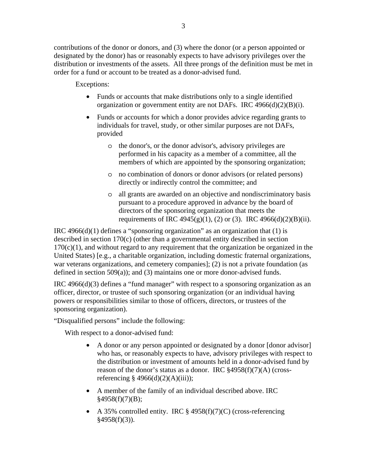contributions of the donor or donors, and (3) where the donor (or a person appointed or designated by the donor) has or reasonably expects to have advisory privileges over the distribution or investments of the assets. All three prongs of the definition must be met in order for a fund or account to be treated as a donor-advised fund.

Exceptions:

- Funds or accounts that make distributions only to a single identified organization or government entity are not DAFs. IRC 4966(d)(2)(B)(i).
- Funds or accounts for which a donor provides advice regarding grants to individuals for travel, study, or other similar purposes are not DAFs, provided
	- o the donor's, or the donor advisor's, advisory privileges are performed in his capacity as a member of a committee, all the members of which are appointed by the sponsoring organization;
	- o no combination of donors or donor advisors (or related persons) directly or indirectly control the committee; and
	- o all grants are awarded on an objective and nondiscriminatory basis pursuant to a procedure approved in advance by the board of directors of the sponsoring organization that meets the requirements of IRC 4945(g)(1), (2) or (3). IRC 4966(d)(2)(B)(ii).

IRC 4966 $(d)(1)$  defines a "sponsoring organization" as an organization that  $(1)$  is described in section 170(c) (other than a governmental entity described in section  $170(c)(1)$ , and without regard to any requirement that the organization be organized in the United States) [e.g., a charitable organization, including domestic fraternal organizations, war veterans organizations, and cemetery companies]; (2) is not a private foundation (as defined in section 509(a)); and (3) maintains one or more donor-advised funds.

IRC 4966(d)(3) defines a "fund manager" with respect to a sponsoring organization as an officer, director, or trustee of such sponsoring organization (or an individual having powers or responsibilities similar to those of officers, directors, or trustees of the sponsoring organization).

"Disqualified persons" include the following:

With respect to a donor-advised fund:

- A donor or any person appointed or designated by a donor [donor advisor] who has, or reasonably expects to have, advisory privileges with respect to the distribution or investment of amounts held in a donor-advised fund by reason of the donor's status as a donor. IRC §4958(f)(7)(A) (crossreferencing  $\S$  4966(d)(2)(A)(iii));
- A member of the family of an individual described above. IRC  $§4958(f)(7)(B);$
- A 35% controlled entity. IRC  $\S$  4958(f)(7)(C) (cross-referencing  $§4958(f)(3)$ ).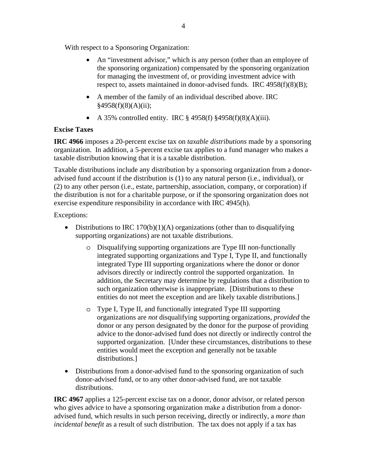With respect to a Sponsoring Organization:

- An "investment advisor," which is any person (other than an employee of the sponsoring organization) compensated by the sponsoring organization for managing the investment of, or providing investment advice with respect to, assets maintained in donor-advised funds. IRC 4958(f)(8)(B);
- A member of the family of an individual described above. IRC  $§4958(f)(8)(A)(ii);$
- A 35% controlled entity. IRC  $\S 4958(f) \ \S 4958(f)(8)(A)(iii)$ .

## **Excise Taxes**

**IRC 4966** imposes a 20-percent excise tax on *taxable distributions* made by a sponsoring organization. In addition, a 5-percent excise tax applies to a fund manager who makes a taxable distribution knowing that it is a taxable distribution.

Taxable distributions include any distribution by a sponsoring organization from a donoradvised fund account if the distribution is (1) to any natural person (i.e., individual), or (2) to any other person (i.e., estate, partnership, association, company, or corporation) if the distribution is not for a charitable purpose, or if the sponsoring organization does not exercise expenditure responsibility in accordance with IRC 4945(h).

Exceptions:

- Distributions to IRC 170(b)(1)(A) organizations (other than to disqualifying supporting organizations) are not taxable distributions.
	- o Disqualifying supporting organizations are Type III non-functionally integrated supporting organizations and Type I, Type II, and functionally integrated Type III supporting organizations where the donor or donor advisors directly or indirectly control the supported organization. In addition, the Secretary may determine by regulations that a distribution to such organization otherwise is inappropriate. [Distributions to these entities do not meet the exception and are likely taxable distributions.]
	- o Type I, Type II, and functionally integrated Type III supporting organizations are *not* disqualifying supporting organizations, *provided* the donor or any person designated by the donor for the purpose of providing advice to the donor-advised fund does not directly or indirectly control the supported organization. [Under these circumstances, distributions to these entities would meet the exception and generally not be taxable distributions.]
- Distributions from a donor-advised fund to the sponsoring organization of such donor-advised fund, or to any other donor-advised fund, are not taxable distributions.

**IRC 4967** applies a 125-percent excise tax on a donor, donor advisor, or related person who gives advice to have a sponsoring organization make a distribution from a donoradvised fund, which results in such person receiving, directly or indirectly, a *more than incidental benefit* as a result of such distribution. The tax does not apply if a tax has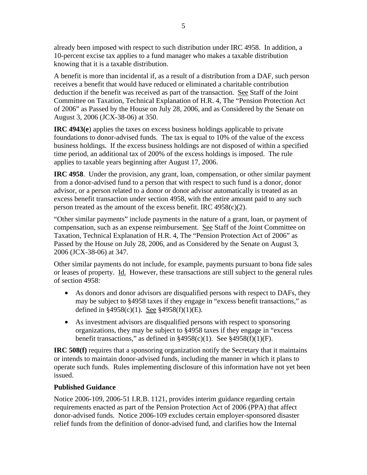already been imposed with respect to such distribution under IRC 4958. In addition, a 10-percent excise tax applies to a fund manager who makes a taxable distribution knowing that it is a taxable distribution.

A benefit is more than incidental if, as a result of a distribution from a DAF, such person receives a benefit that would have reduced or eliminated a charitable contribution deduction if the benefit was received as part of the transaction. See Staff of the Joint Committee on Taxation, Technical Explanation of H.R. 4, The "Pension Protection Act of 2006" as Passed by the House on July 28, 2006, and as Considered by the Senate on August 3, 2006 (JCX-38-06) at 350.

**IRC 4943(e**) applies the taxes on excess business holdings applicable to private foundations to donor-advised funds. The tax is equal to 10% of the value of the excess business holdings. If the excess business holdings are not disposed of within a specified time period, an additional tax of 200% of the excess holdings is imposed. The rule applies to taxable years beginning after August 17, 2006.

**IRC 4958**. Under the provision, any grant, loan, compensation, or other similar payment from a donor-advised fund to a person that with respect to such fund is a donor, donor advisor, or a person related to a donor or donor advisor automatically is treated as an excess benefit transaction under section 4958, with the entire amount paid to any such person treated as the amount of the excess benefit. IRC  $4958(c)(2)$ .

"Other similar payments" include payments in the nature of a grant, loan, or payment of compensation, such as an expense reimbursement. See Staff of the Joint Committee on Taxation, Technical Explanation of H.R. 4, The "Pension Protection Act of 2006" as Passed by the House on July 28, 2006, and as Considered by the Senate on August 3, 2006 (JCX-38-06) at 347.

Other similar payments do not include, for example, payments pursuant to bona fide sales or leases of property. Id. However, these transactions are still subject to the general rules of section 4958:

- As donors and donor advisors are disqualified persons with respect to DAFs, they may be subject to §4958 taxes if they engage in "excess benefit transactions," as defined in  $\frac{$4958(c)(1)}{2}$ . See  $\frac{$4958(f)(1)(E)}{2}$ .
- As investment advisors are disqualified persons with respect to sponsoring organizations, they may be subject to §4958 taxes if they engage in "excess benefit transactions," as defined in  $\frac{24958(c)}{1}$ . See  $\frac{24958(f)}{1}(F)$ .

**IRC 508(f)** requires that a sponsoring organization notify the Secretary that it maintains or intends to maintain donor-advised funds, including the manner in which it plans to operate such funds. Rules implementing disclosure of this information have not yet been issued.

#### **Published Guidance**

Notice 2006-109, 2006-51 I.R.B. 1121, provides interim guidance regarding certain requirements enacted as part of the Pension Protection Act of 2006 (PPA) that affect donor-advised funds. Notice 2006-109 excludes certain employer-sponsored disaster relief funds from the definition of donor-advised fund, and clarifies how the Internal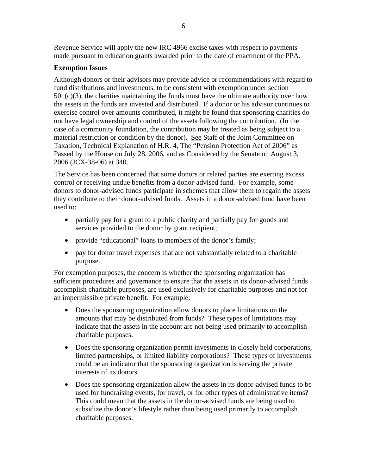Revenue Service will apply the new IRC 4966 excise taxes with respect to payments made pursuant to education grants awarded prior to the date of enactment of the PPA.

### **Exemption Issues**

Although donors or their advisors may provide advice or recommendations with regard to fund distributions and investments, to be consistent with exemption under section  $501(c)(3)$ , the charities maintaining the funds must have the ultimate authority over how the assets in the funds are invested and distributed. If a donor or his advisor continues to exercise control over amounts contributed, it might be found that sponsoring charities do not have legal ownership and control of the assets following the contribution. (In the case of a community foundation, the contribution may be treated as being subject to a material restriction or condition by the donor). See Staff of the Joint Committee on Taxation, Technical Explanation of H.R. 4, The "Pension Protection Act of 2006" as Passed by the House on July 28, 2006, and as Considered by the Senate on August 3, 2006 (JCX-38-06) at 340.

The Service has been concerned that some donors or related parties are exerting excess control or receiving undue benefits from a donor-advised fund. For example, some donors to donor-advised funds participate in schemes that allow them to regain the assets they contribute to their donor-advised funds. Assets in a donor-advised fund have been used to:

- partially pay for a grant to a public charity and partially pay for goods and services provided to the donor by grant recipient;
- provide "educational" loans to members of the donor's family;
- pay for donor travel expenses that are not substantially related to a charitable purpose.

For exemption purposes, the concern is whether the sponsoring organization has sufficient procedures and governance to ensure that the assets in its donor-advised funds accomplish charitable purposes, are used exclusively for charitable purposes and not for an impermissible private benefit. For example:

- Does the sponsoring organization allow donors to place limitations on the amounts that may be distributed from funds? These types of limitations may indicate that the assets in the account are not being used primarily to accomplish charitable purposes.
- Does the sponsoring organization permit investments in closely held corporations, limited partnerships, or limited liability corporations? These types of investments could be an indicator that the sponsoring organization is serving the private interests of its donors.
- Does the sponsoring organization allow the assets in its donor-advised funds to be used for fundraising events, for travel, or for other types of administrative items? This could mean that the assets in the donor-advised funds are being used to subsidize the donor's lifestyle rather than being used primarily to accomplish charitable purposes.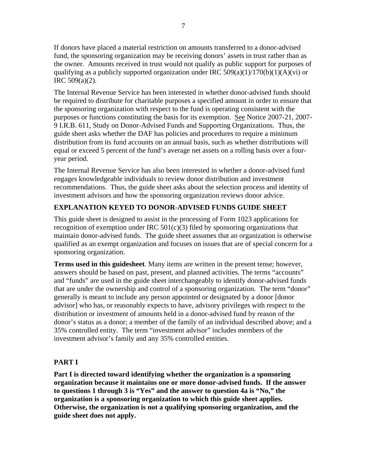If donors have placed a material restriction on amounts transferred to a donor-advised fund, the sponsoring organization may be receiving donors' assets in trust rather than as the owner. Amounts received in trust would not qualify as public support for purposes of qualifying as a publicly supported organization under IRC  $509(a)(1)/170(b)(1)(A)(vi)$  or IRC 509(a)(2).

The Internal Revenue Service has been interested in whether donor-advised funds should be required to distribute for charitable purposes a specified amount in order to ensure that the sponsoring organization with respect to the fund is operating consistent with the purposes or functions constituting the basis for its exemption. See Notice 2007-21, 2007- 9 I.R.B. 611, Study on Donor-Advised Funds and Supporting Organizations. Thus, the guide sheet asks whether the DAF has policies and procedures to require a minimum distribution from its fund accounts on an annual basis, such as whether distributions will equal or exceed 5 percent of the fund's average net assets on a rolling basis over a fouryear period.

The Internal Revenue Service has also been interested in whether a donor-advised fund engages knowledgeable individuals to review donor distribution and investment recommendations. Thus, the guide sheet asks about the selection process and identity of investment advisors and how the sponsoring organization reviews donor advice.

## **EXPLANATION KEYED TO DONOR-ADVISED FUNDS GUIDE SHEET**

This guide sheet is designed to assist in the processing of Form 1023 applications for recognition of exemption under IRC  $501(c)(3)$  filed by sponsoring organizations that maintain donor-advised funds. The guide sheet assumes that an organization is otherwise qualified as an exempt organization and focuses on issues that are of special concern for a sponsoring organization.

**Terms used in this guidesheet**. Many items are written in the present tense; however, answers should be based on past, present, and planned activities. The terms "accounts" and "funds" are used in the guide sheet interchangeably to identify donor-advised funds that are under the ownership and control of a sponsoring organization. The term "donor" generally is meant to include any person appointed or designated by a donor [donor advisor] who has, or reasonably expects to have, advisory privileges with respect to the distribution or investment of amounts held in a donor-advised fund by reason of the donor's status as a donor; a member of the family of an individual described above; and a 35% controlled entity. The term "investment advisor" includes members of the investment advisor's family and any 35% controlled entities.

## **PART I**

**Part I is directed toward identifying whether the organization is a sponsoring organization because it maintains one or more donor-advised funds. If the answer to questions 1 through 3 is "Yes" and the answer to question 4a is "No," the organization is a sponsoring organization to which this guide sheet applies. Otherwise, the organization is not a qualifying sponsoring organization, and the guide sheet does not apply.**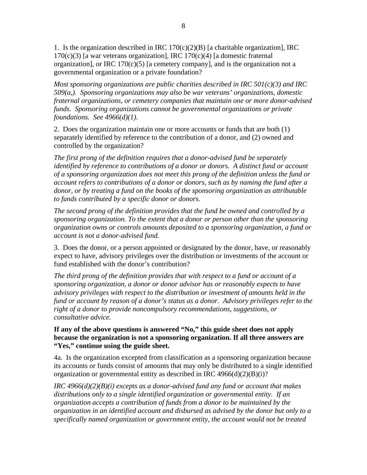1. Is the organization described in IRC  $170(c)(2)(B)$  [a charitable organization], IRC  $170(c)(3)$  [a war veterans organization], IRC  $170(c)(4)$  [a domestic fraternal organization], or IRC  $170(c)(5)$  [a cemetery company], and is the organization not a governmental organization or a private foundation?

*Most sponsoring organizations are public charities described in IRC 501(c)(3) and IRC 509(a,). Sponsoring organizations may also be war veterans' organizations, domestic fraternal organizations, or cemetery companies that maintain one or more donor-advised funds. Sponsoring organizations cannot be governmental organizations or private foundations. See 4966(d)(1).* 

2. Does the organization maintain one or more accounts or funds that are both (1) separately identified by reference to the contribution of a donor, and (2) owned and controlled by the organization?

*The first prong of the definition requires that a donor-advised fund be separately identified by reference to contributions of a donor or donors. A distinct fund or account of a sponsoring organization does not meet this prong of the definition unless the fund or account refers to contributions of a donor or donors, such as by naming the fund after a donor, or by treating a fund on the books of the sponsoring organization as attributable to funds contributed by a specific donor or donors.* 

*The second prong of the definition provides that the fund be owned and controlled by a sponsoring organization. To the extent that a donor or person other than the sponsoring organization owns or controls amounts deposited to a sponsoring organization, a fund or account is not a donor-advised fund.*

3. Does the donor, or a person appointed or designated by the donor, have, or reasonably expect to have, advisory privileges over the distribution or investments of the account or fund established with the donor's contribution?

*The third prong of the definition provides that with respect to a fund or account of a sponsoring organization, a donor or donor advisor has or reasonably expects to have advisory privileges with respect to the distribution or investment of amounts held in the fund or account by reason of a donor's status as a donor. Advisory privileges refer to the right of a donor to provide noncompulsory recommendations, suggestions, or consultative advice.*

**If any of the above questions is answered "No," this guide sheet does not apply because the organization is not a sponsoring organization. If all three answers are "Yes," continue using the guide sheet.** 

4a. Is the organization excepted from classification as a sponsoring organization because its accounts or funds consist of amounts that may only be distributed to a single identified organization or governmental entity as described in IRC  $4966(d)(2)(B)(i)$ ?

*IRC 4966(d)(2)(B)(i) excepts as a donor-advised fund any fund or account that makes distributions only to a single identified organization or governmental entity. If an organization accepts a contribution of funds from a donor to be maintained by the organization in an identified account and disbursed as advised by the donor but only to a specifically named organization or government entity, the account would not be treated*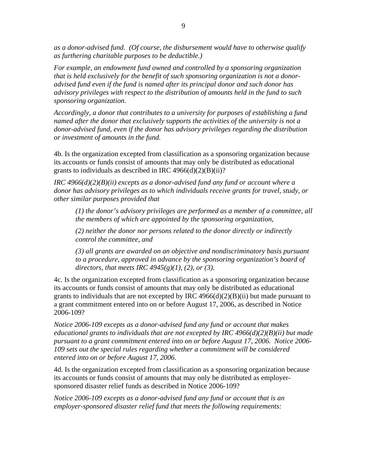*as a donor-advised fund. (Of course, the disbursement would have to otherwise qualify as furthering charitable purposes to be deductible.)* 

*For example, an endowment fund owned and controlled by a sponsoring organization that is held exclusively for the benefit of such sponsoring organization is not a donoradvised fund even if the fund is named after its principal donor and such donor has advisory privileges with respect to the distribution of amounts held in the fund to such sponsoring organization.* 

*Accordingly, a donor that contributes to a university for purposes of establishing a fund named after the donor that exclusively supports the activities of the university is not a donor-advised fund, even if the donor has advisory privileges regarding the distribution or investment of amounts in the fund.* 

4b. Is the organization excepted from classification as a sponsoring organization because its accounts or funds consist of amounts that may only be distributed as educational grants to individuals as described in IRC  $4966(d)(2)(B)(ii)$ ?

*IRC 4966(d)(2)(B)(ii) excepts as a donor-advised fund any fund or account where a donor has advisory privileges as to which individuals receive grants for travel, study, or other similar purposes provided that* 

*(1) the donor's advisory privileges are performed as a member of a committee, all the members of which are appointed by the sponsoring organization,* 

*(2) neither the donor nor persons related to the donor directly or indirectly control the committee, and* 

*(3) all grants are awarded on an objective and nondiscriminatory basis pursuant to a procedure, approved in advance by the sponsoring organization's board of directors, that meets IRC 4945(g)(1), (2), or (3).*

4c. Is the organization excepted from classification as a sponsoring organization because its accounts or funds consist of amounts that may only be distributed as educational grants to individuals that are not excepted by IRC  $4966(d)(2)(B)(ii)$  but made pursuant to a grant commitment entered into on or before August 17, 2006, as described in Notice 2006-109?

*Notice 2006-109 excepts as a donor-advised fund any fund or account that makes educational grants to individuals that are not excepted by IRC 4966(d)(2)(B)(ii) but made pursuant to a grant commitment entered into on or before August 17, 2006. Notice 2006- 109 sets out the special rules regarding whether a commitment will be considered entered into on or before August 17, 2006.* 

4d. Is the organization excepted from classification as a sponsoring organization because its accounts or funds consist of amounts that may only be distributed as employersponsored disaster relief funds as described in Notice 2006-109?

*Notice 2006-109 excepts as a donor-advised fund any fund or account that is an employer-sponsored disaster relief fund that meets the following requirements:*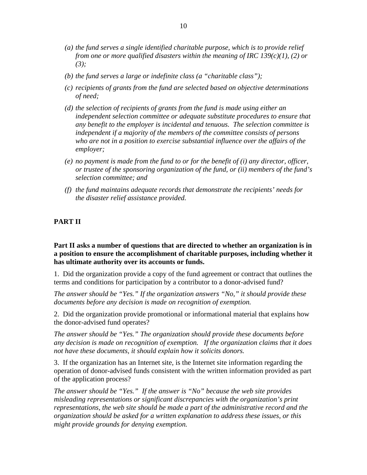- *(a) the fund serves a single identified charitable purpose, which is to provide relief from one or more qualified disasters within the meaning of IRC 139(c)(1), (2) or (3);*
- *(b) the fund serves a large or indefinite class (a "charitable class");*
- *(c) recipients of grants from the fund are selected based on objective determinations of need;*
- *(d) the selection of recipients of grants from the fund is made using either an independent selection committee or adequate substitute procedures to ensure that any benefit to the employer is incidental and tenuous. The selection committee is independent if a majority of the members of the committee consists of persons who are not in a position to exercise substantial influence over the affairs of the employer;*
- *(e) no payment is made from the fund to or for the benefit of (i) any director, officer, or trustee of the sponsoring organization of the fund, or (ii) members of the fund's selection committee; and*
- *(f) the fund maintains adequate records that demonstrate the recipients' needs for the disaster relief assistance provided.*

#### **PART II**

**Part II asks a number of questions that are directed to whether an organization is in a position to ensure the accomplishment of charitable purposes, including whether it has ultimate authority over its accounts or funds.**

1. Did the organization provide a copy of the fund agreement or contract that outlines the terms and conditions for participation by a contributor to a donor-advised fund?

*The answer should be "Yes." If the organization answers "No," it should provide these documents before any decision is made on recognition of exemption.*

2. Did the organization provide promotional or informational material that explains how the donor-advised fund operates?

*The answer should be "Yes." The organization should provide these documents before any decision is made on recognition of exemption. If the organization claims that it does not have these documents, it should explain how it solicits donors.*

3. If the organization has an Internet site, is the Internet site information regarding the operation of donor-advised funds consistent with the written information provided as part of the application process?

*The answer should be "Yes." If the answer is "No" because the web site provides misleading representations or significant discrepancies with the organization's print representations, the web site should be made a part of the administrative record and the organization should be asked for a written explanation to address these issues, or this might provide grounds for denying exemption.*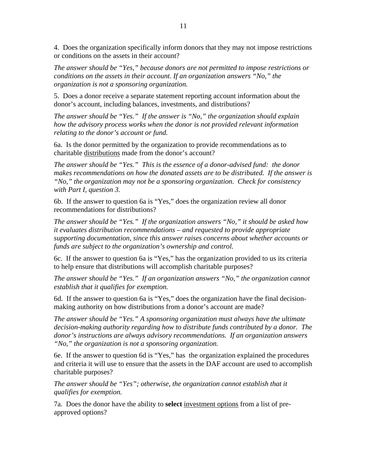4. Does the organization specifically inform donors that they may not impose restrictions or conditions on the assets in their account?

*The answer should be "Yes," because donors are not permitted to impose restrictions or conditions on the assets in their account. If an organization answers "No," the organization is not a sponsoring organization.*

5. Does a donor receive a separate statement reporting account information about the donor's account, including balances, investments, and distributions?

*The answer should be "Yes." If the answer is "No," the organization should explain how the advisory process works when the donor is not provided relevant information relating to the donor's account or fund.* 

6a. Is the donor permitted by the organization to provide recommendations as to charitable distributions made from the donor's account?

*The answer should be "Yes." This is the essence of a donor-advised fund: the donor makes recommendations on how the donated assets are to be distributed. If the answer is "No," the organization may not be a sponsoring organization. Check for consistency with Part I, question 3.* 

6b. If the answer to question 6a is "Yes," does the organization review all donor recommendations for distributions?

*The answer should be "Yes." If the organization answers "No," it should be asked how it evaluates distribution recommendations – and requested to provide appropriate supporting documentation, since this answer raises concerns about whether accounts or funds are subject to the organization's ownership and control.* 

6c. If the answer to question 6a is "Yes," has the organization provided to us its criteria to help ensure that distributions will accomplish charitable purposes?

*The answer should be "Yes." If an organization answers "No," the organization cannot establish that it qualifies for exemption.*

6d. If the answer to question 6a is "Yes," does the organization have the final decisionmaking authority on how distributions from a donor's account are made?

*The answer should be "Yes." A sponsoring organization must always have the ultimate decision-making authority regarding how to distribute funds contributed by a donor. The donor's instructions are always advisory recommendations. If an organization answers "No," the organization is not a sponsoring organization.* 

6e. If the answer to question 6d is "Yes," has the organization explained the procedures and criteria it will use to ensure that the assets in the DAF account are used to accomplish charitable purposes?

*The answer should be "Yes"; otherwise, the organization cannot establish that it qualifies for exemption.*

7a. Does the donor have the ability to **select** investment options from a list of preapproved options?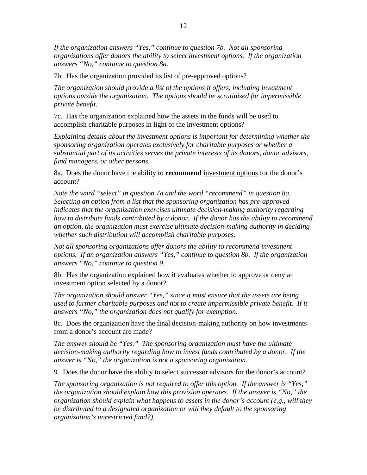*If the organization answers "Yes," continue to question 7b. Not all sponsoring organizations offer donors the ability to select investment options. If the organization answers "No," continue to question 8a.*

7b. Has the organization provided its list of pre-approved options?

*The organization should provide a list of the options it offers, including investment options outside the organization. The options should be scrutinized for impermissible private benefit.*

7c. Has the organization explained how the assets in the funds will be used to accomplish charitable purposes in light of the investment options?

*Explaining details about the investment options is important for determining whether the sponsoring organization operates exclusively for charitable purposes or whether a substantial part of its activities serves the private interests of its donors, donor advisors, fund managers, or other persons.*

8a. Does the donor have the ability to **recommend** investment options for the donor's account?

*Note the word "select" in question 7a and the word "recommend" in question 8a. Selecting an option from a list that the sponsoring organization has pre-approved indicates that the organization exercises ultimate decision-making authority regarding how to distribute funds contributed by a donor. If the donor has the ability to recommend an option, the organization must exercise ultimate decision-making authority in deciding whether such distribution will accomplish charitable purposes.* 

*Not all sponsoring organizations offer donors the ability to recommend investment options. If an organization answers "Yes," continue to question 8b. If the organization answers "No," continue to question 9.*

8b. Has the organization explained how it evaluates whether to approve or deny an investment option selected by a donor?

*The organization should answer "Yes," since it must ensure that the assets are being used to further charitable purposes and not to create impermissible private benefit. If it answers "No," the organization does not qualify for exemption.*

8c. Does the organization have the final decision-making authority on how investments from a donor's account are made?

*The answer should be "Yes." The sponsoring organization must have the ultimate decision-making authority regarding how to invest funds contributed by a donor. If the answer is "No," the organization is not a sponsoring organization.*

9. Does the donor have the ability to select successor advisors for the donor's account?

*The sponsoring organization is not required to offer this option. If the answer is "Yes," the organization should explain how this provision operates. If the answer is "No," the organization should explain what happens to assets in the donor's account (e.g., will they be distributed to a designated organization or will they default to the sponsoring organization's unrestricted fund?).*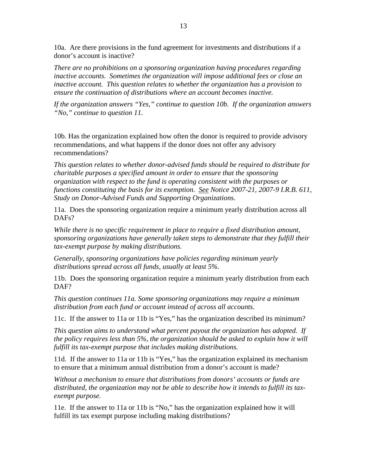10a. Are there provisions in the fund agreement for investments and distributions if a donor's account is inactive?

*There are no prohibitions on a sponsoring organization having procedures regarding inactive accounts. Sometimes the organization will impose additional fees or close an inactive account. This question relates to whether the organization has a provision to ensure the continuation of distributions where an account becomes inactive.* 

*If the organization answers "Yes," continue to question 10b. If the organization answers "No," continue to question 11.* 

10b. Has the organization explained how often the donor is required to provide advisory recommendations, and what happens if the donor does not offer any advisory recommendations?

*This question relates to whether donor-advised funds should be required to distribute for charitable purposes a specified amount in order to ensure that the sponsoring organization with respect to the fund is operating consistent with the purposes or functions constituting the basis for its exemption. See Notice 2007-21, 2007-9 I.R.B. 611, Study on Donor-Advised Funds and Supporting Organizations.* 

11a. Does the sponsoring organization require a minimum yearly distribution across all DAF<sub>s</sub>?

*While there is no specific requirement in place to require a fixed distribution amount, sponsoring organizations have generally taken steps to demonstrate that they fulfill their tax-exempt purpose by making distributions.* 

*Generally, sponsoring organizations have policies regarding minimum yearly distributions spread across all funds, usually at least 5%.* 

11b. Does the sponsoring organization require a minimum yearly distribution from each DAF?

*This question continues 11a. Some sponsoring organizations may require a minimum distribution from each fund or account instead of across all accounts.* 

11c. If the answer to 11a or 11b is "Yes," has the organization described its minimum?

*This question aims to understand what percent payout the organization has adopted. If the policy requires less than 5%, the organization should be asked to explain how it will fulfill its tax-exempt purpose that includes making distributions.*

11d. If the answer to 11a or 11b is "Yes," has the organization explained its mechanism to ensure that a minimum annual distribution from a donor's account is made?

*Without a mechanism to ensure that distributions from donors' accounts or funds are distributed, the organization may not be able to describe how it intends to fulfill its taxexempt purpose.*

11e. If the answer to 11a or 11b is "No," has the organization explained how it will fulfill its tax exempt purpose including making distributions?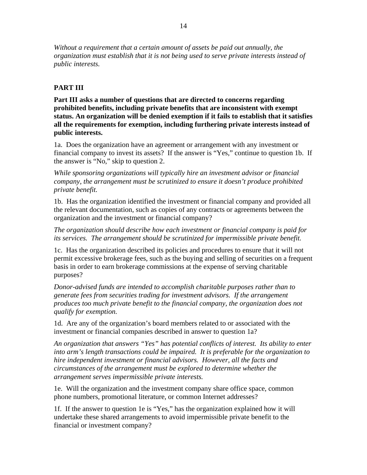*Without a requirement that a certain amount of assets be paid out annually, the organization must establish that it is not being used to serve private interests instead of public interests.* 

### **PART III**

**Part III asks a number of questions that are directed to concerns regarding prohibited benefits, including private benefits that are inconsistent with exempt status. An organization will be denied exemption if it fails to establish that it satisfies all the requirements for exemption, including furthering private interests instead of public interests.** 

1a. Does the organization have an agreement or arrangement with any investment or financial company to invest its assets? If the answer is "Yes," continue to question 1b. If the answer is "No," skip to question 2.

*While sponsoring organizations will typically hire an investment advisor or financial company, the arrangement must be scrutinized to ensure it doesn't produce prohibited private benefit.*

1b. Has the organization identified the investment or financial company and provided all the relevant documentation, such as copies of any contracts or agreements between the organization and the investment or financial company?

*The organization should describe how each investment or financial company is paid for its services. The arrangement should be scrutinized for impermissible private benefit.*

1c. Has the organization described its policies and procedures to ensure that it will not permit excessive brokerage fees, such as the buying and selling of securities on a frequent basis in order to earn brokerage commissions at the expense of serving charitable purposes?

*Donor-advised funds are intended to accomplish charitable purposes rather than to generate fees from securities trading for investment advisors. If the arrangement produces too much private benefit to the financial company, the organization does not qualify for exemption.* 

1d. Are any of the organization's board members related to or associated with the investment or financial companies described in answer to question 1a?

*An organization that answers "Yes" has potential conflicts of interest. Its ability to enter into arm's length transactions could be impaired. It is preferable for the organization to hire independent investment or financial advisors. However, all the facts and circumstances of the arrangement must be explored to determine whether the arrangement serves impermissible private interests.*

1e. Will the organization and the investment company share office space, common phone numbers, promotional literature, or common Internet addresses?

1f. If the answer to question 1e is "Yes," has the organization explained how it will undertake these shared arrangements to avoid impermissible private benefit to the financial or investment company?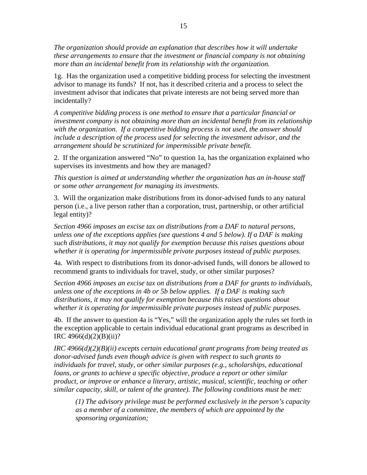*The organization should provide an explanation that describes how it will undertake these arrangements to ensure that the investment or financial company is not obtaining more than an incidental benefit from its relationship with the organization.*

1g. Has the organization used a competitive bidding process for selecting the investment advisor to manage its funds? If not, has it described criteria and a process to select the investment advisor that indicates that private interests are not being served more than incidentally?

*A competitive bidding process is one method to ensure that a particular financial or investment company is not obtaining more than an incidental benefit from its relationship with the organization. If a competitive bidding process is not used, the answer should include a description of the process used for selecting the investment advisor, and the arrangement should be scrutinized for impermissible private benefit.* 

2. If the organization answered "No" to question 1a, has the organization explained who supervises its investments and how they are managed?

*This question is aimed at understanding whether the organization has an in-house staff or some other arrangement for managing its investments.* 

3. Will the organization make distributions from its donor-advised funds to any natural person (i.e., a live person rather than a corporation, trust, partnership, or other artificial legal entity)?

*Section 4966 imposes an excise tax on distributions from a DAF to natural persons, unless one of the exceptions applies (see questions 4 and 5 below). If a DAF is making such distributions, it may not qualify for exemption because this raises questions about whether it is operating for impermissible private purposes instead of public purposes.*

4a. With respect to distributions from its donor-advised funds, will donors be allowed to recommend grants to individuals for travel, study, or other similar purposes?

*Section 4966 imposes an excise tax on distributions from a DAF for grants to individuals, unless one of the exceptions in 4b or 5b below applies. If a DAF is making such distributions, it may not qualify for exemption because this raises questions about whether it is operating for impermissible private purposes instead of public purposes.*

4b. If the answer to question 4a is "Yes," will the organization apply the rules set forth in the exception applicable to certain individual educational grant programs as described in IRC 4966(d)(2)(B)(ii)?

*IRC 4966(d)(2)(B)(ii) excepts certain educational grant programs from being treated as donor-advised funds even though advice is given with respect to such grants to individuals for travel, study, or other similar purposes (e.g., scholarships, educational loans, or grants to achieve a specific objective, produce a report or other similar product, or improve or enhance a literary, artistic, musical, scientific, teaching or other similar capacity, skill, or talent of the grantee). The following conditions must be met:* 

*(1) The advisory privilege must be performed exclusively in the person's capacity as a member of a committee, the members of which are appointed by the sponsoring organization;*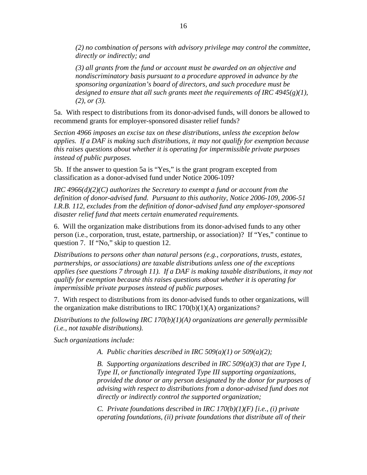*(2) no combination of persons with advisory privilege may control the committee, directly or indirectly; and* 

*(3) all grants from the fund or account must be awarded on an objective and nondiscriminatory basis pursuant to a procedure approved in advance by the sponsoring organization's board of directors, and such procedure must be designed to ensure that all such grants meet the requirements of IRC 4945(g)(1), (2), or (3).* 

5a. With respect to distributions from its donor-advised funds, will donors be allowed to recommend grants for employer-sponsored disaster relief funds?

*Section 4966 imposes an excise tax on these distributions, unless the exception below applies. If a DAF is making such distributions, it may not qualify for exemption because this raises questions about whether it is operating for impermissible private purposes instead of public purposes.* 

5b. If the answer to question 5a is "Yes," is the grant program excepted from classification as a donor-advised fund under Notice 2006-109?

*IRC 4966(d)(2)(C) authorizes the Secretary to exempt a fund or account from the definition of donor-advised fund. Pursuant to this authority, Notice 2006-109, 2006-51 I.R.B. 112, excludes from the definition of donor-advised fund any employer-sponsored disaster relief fund that meets certain enumerated requirements.* 

6. Will the organization make distributions from its donor-advised funds to any other person (i.e., corporation, trust, estate, partnership, or association)? If "Yes," continue to question 7. If "No," skip to question 12.

*Distributions to persons other than natural persons (e.g., corporations, trusts, estates, partnerships, or associations) are taxable distributions unless one of the exceptions applies (see questions 7 through 11). If a DAF is making taxable distributions, it may not qualify for exemption because this raises questions about whether it is operating for impermissible private purposes instead of public purposes.*

7. With respect to distributions from its donor-advised funds to other organizations, will the organization make distributions to IRC  $170(b)(1)(A)$  organizations?

*Distributions to the following IRC 170(b)(1)(A) organizations are generally permissible (i.e., not taxable distributions).* 

*Such organizations include:* 

*A. Public charities described in IRC 509(a)(1) or 509(a)(2);* 

*B. Supporting organizations described in IRC 509(a)(3) that are Type I, Type II, or functionally integrated Type III supporting organizations, provided the donor or any person designated by the donor for purposes of advising with respect to distributions from a donor-advised fund does not directly or indirectly control the supported organization;* 

*C. Private foundations described in IRC 170(b)(1)(F) [i.e., (i) private operating foundations, (ii) private foundations that distribute all of their*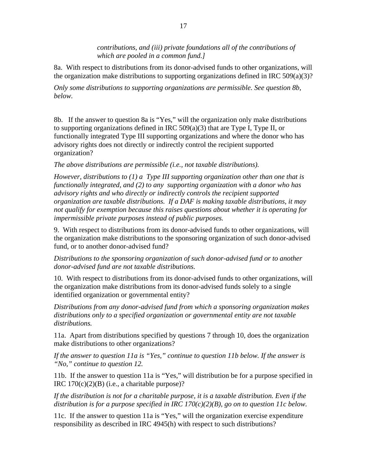*contributions, and (iii) private foundations all of the contributions of which are pooled in a common fund.]*

8a. With respect to distributions from its donor-advised funds to other organizations, will the organization make distributions to supporting organizations defined in IRC 509(a)(3)?

*Only some distributions to supporting organizations are permissible. See question 8b, below.* 

8b. If the answer to question 8a is "Yes," will the organization only make distributions to supporting organizations defined in IRC 509(a)(3) that are Type I, Type II, or functionally integrated Type III supporting organizations and where the donor who has advisory rights does not directly or indirectly control the recipient supported organization?

*The above distributions are permissible (i.e., not taxable distributions).* 

*However, distributions to (1) a Type III supporting organization other than one that is functionally integrated, and (2) to any supporting organization with a donor who has advisory rights and who directly or indirectly controls the recipient supported organization are taxable distributions. If a DAF is making taxable distributions, it may not qualify for exemption because this raises questions about whether it is operating for impermissible private purposes instead of public purposes.*

9. With respect to distributions from its donor-advised funds to other organizations, will the organization make distributions to the sponsoring organization of such donor-advised fund, or to another donor-advised fund?

*Distributions to the sponsoring organization of such donor-advised fund or to another donor-advised fund are not taxable distributions.* 

10. With respect to distributions from its donor-advised funds to other organizations, will the organization make distributions from its donor-advised funds solely to a single identified organization or governmental entity?

*Distributions from any donor-advised fund from which a sponsoring organization makes distributions only to a specified organization or governmental entity are not taxable distributions.*

11a. Apart from distributions specified by questions 7 through 10, does the organization make distributions to other organizations?

*If the answer to question 11a is "Yes," continue to question 11b below. If the answer is "No," continue to question 12.*

11b. If the answer to question 11a is "Yes," will distribution be for a purpose specified in IRC  $170(c)(2)(B)$  (i.e., a charitable purpose)?

*If the distribution is not for a charitable purpose, it is a taxable distribution. Even if the distribution is for a purpose specified in IRC 170(c)(2)(B), go on to question 11c below.* 

11c. If the answer to question 11a is "Yes," will the organization exercise expenditure responsibility as described in IRC 4945(h) with respect to such distributions?